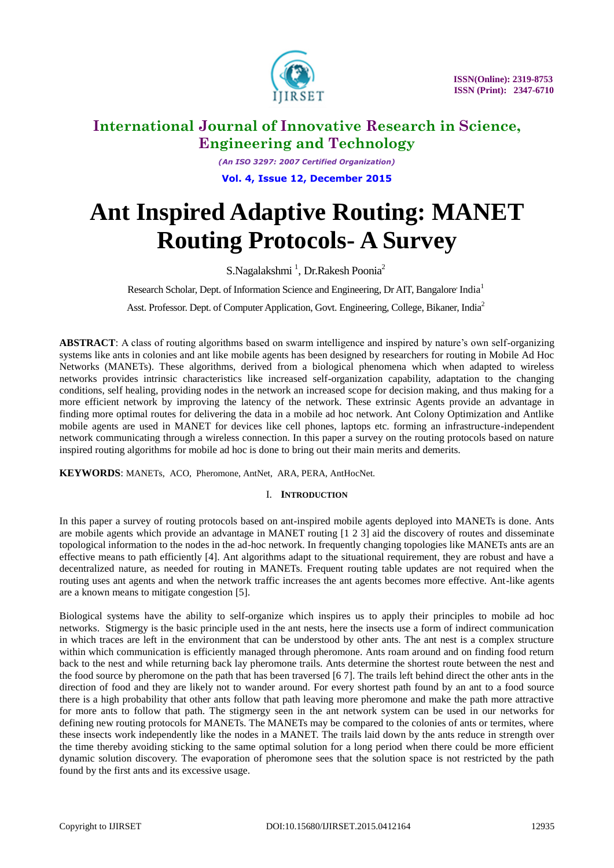

*(An ISO 3297: 2007 Certified Organization)* **Vol. 4, Issue 12, December 2015**

# **Ant Inspired Adaptive Routing: MANET Routing Protocols- A Survey**

S.Nagalakshmi<sup>1</sup>, Dr.Rakesh Poonia<sup>2</sup>

Research Scholar, Dept. of Information Science and Engineering, Dr AIT, Bangalore' India<sup>1</sup>

Asst. Professor. Dept. of Computer Application, Govt. Engineering, College, Bikaner, India<sup>2</sup>

**ABSTRACT**: A class of routing algorithms based on swarm intelligence and inspired by nature's own self-organizing systems like ants in colonies and ant like mobile agents has been designed by researchers for routing in Mobile Ad Hoc Networks (MANETs). These algorithms, derived from a biological phenomena which when adapted to wireless networks provides intrinsic characteristics like increased self-organization capability, adaptation to the changing conditions, self healing, providing nodes in the network an increased scope for decision making, and thus making for a more efficient network by improving the latency of the network. These extrinsic Agents provide an advantage in finding more optimal routes for delivering the data in a mobile ad hoc network. Ant Colony Optimization and Antlike mobile agents are used in MANET for devices like cell phones, laptops etc. forming an infrastructure-independent network communicating through a wireless connection. In this paper a survey on the routing protocols based on nature inspired routing algorithms for mobile ad hoc is done to bring out their main merits and demerits.

**KEYWORDS**: MANETs, ACO, Pheromone, AntNet, ARA, PERA, AntHocNet.

## I. **INTRODUCTION**

In this paper a survey of routing protocols based on ant-inspired mobile agents deployed into MANETs is done. Ants are mobile agents which provide an advantage in MANET routing [1 2 3] aid the discovery of routes and disseminate topological information to the nodes in the ad-hoc network. In frequently changing topologies like MANETs ants are an effective means to path efficiently [4]. Ant algorithms adapt to the situational requirement, they are robust and have a decentralized nature, as needed for routing in MANETs. Frequent routing table updates are not required when the routing uses ant agents and when the network traffic increases the ant agents becomes more effective. Ant-like agents are a known means to mitigate congestion [5].

Biological systems have the ability to self-organize which inspires us to apply their principles to mobile ad hoc networks. Stigmergy is the basic principle used in the ant nests, here the insects use a form of indirect communication in which traces are left in the environment that can be understood by other ants. The ant nest is a complex structure within which communication is efficiently managed through pheromone. Ants roam around and on finding food return back to the nest and while returning back lay pheromone trails. Ants determine the shortest route between the nest and the food source by pheromone on the path that has been traversed [6 7]. The trails left behind direct the other ants in the direction of food and they are likely not to wander around. For every shortest path found by an ant to a food source there is a high probability that other ants follow that path leaving more pheromone and make the path more attractive for more ants to follow that path. The stigmergy seen in the ant network system can be used in our networks for defining new routing protocols for MANETs. The MANETs may be compared to the colonies of ants or termites, where these insects work independently like the nodes in a MANET. The trails laid down by the ants reduce in strength over the time thereby avoiding sticking to the same optimal solution for a long period when there could be more efficient dynamic solution discovery. The evaporation of pheromone sees that the solution space is not restricted by the path found by the first ants and its excessive usage.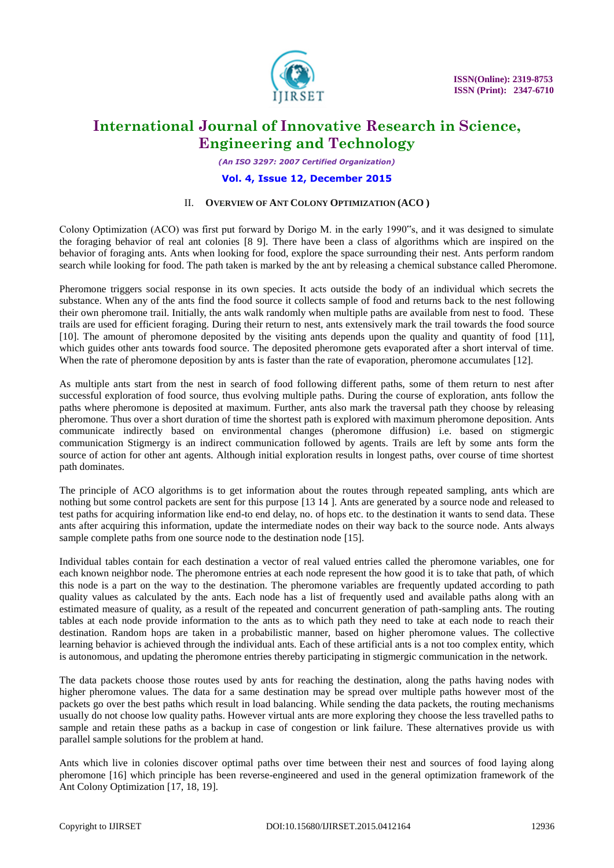

*(An ISO 3297: 2007 Certified Organization)*

#### **Vol. 4, Issue 12, December 2015**

## II. **OVERVIEW OF ANT COLONY OPTIMIZATION (ACO )**

Colony Optimization (ACO) was first put forward by Dorigo M. in the early 1990"s, and it was designed to simulate the foraging behavior of real ant colonies [8 9]. There have been a class of algorithms which are inspired on the behavior of foraging ants. Ants when looking for food, explore the space surrounding their nest. Ants perform random search while looking for food. The path taken is marked by the ant by releasing a chemical substance called Pheromone.

Pheromone triggers social response in its own species. It acts outside the body of an individual which secrets the substance. When any of the ants find the food source it collects sample of food and returns back to the nest following their own pheromone trail. Initially, the ants walk randomly when multiple paths are available from nest to food. These trails are used for efficient foraging. During their return to nest, ants extensively mark the trail towards the food source [10]. The amount of pheromone deposited by the visiting ants depends upon the quality and quantity of food [11], which guides other ants towards food source. The deposited pheromone gets evaporated after a short interval of time. When the rate of pheromone deposition by ants is faster than the rate of evaporation, pheromone accumulates [12].

As multiple ants start from the nest in search of food following different paths, some of them return to nest after successful exploration of food source, thus evolving multiple paths. During the course of exploration, ants follow the paths where pheromone is deposited at maximum. Further, ants also mark the traversal path they choose by releasing pheromone. Thus over a short duration of time the shortest path is explored with maximum pheromone deposition. Ants communicate indirectly based on environmental changes (pheromone diffusion) i.e. based on stigmergic communication Stigmergy is an indirect communication followed by agents. Trails are left by some ants form the source of action for other ant agents. Although initial exploration results in longest paths, over course of time shortest path dominates.

The principle of ACO algorithms is to get information about the routes through repeated sampling, ants which are nothing but some control packets are sent for this purpose [13 14 ]. Ants are generated by a source node and released to test paths for acquiring information like end-to end delay, no. of hops etc. to the destination it wants to send data. These ants after acquiring this information, update the intermediate nodes on their way back to the source node. Ants always sample complete paths from one source node to the destination node [15].

Individual tables contain for each destination a vector of real valued entries called the pheromone variables, one for each known neighbor node. The pheromone entries at each node represent the how good it is to take that path, of which this node is a part on the way to the destination. The pheromone variables are frequently updated according to path quality values as calculated by the ants. Each node has a list of frequently used and available paths along with an estimated measure of quality, as a result of the repeated and concurrent generation of path-sampling ants. The routing tables at each node provide information to the ants as to which path they need to take at each node to reach their destination. Random hops are taken in a probabilistic manner, based on higher pheromone values. The collective learning behavior is achieved through the individual ants. Each of these artificial ants is a not too complex entity, which is autonomous, and updating the pheromone entries thereby participating in stigmergic communication in the network.

The data packets choose those routes used by ants for reaching the destination, along the paths having nodes with higher pheromone values. The data for a same destination may be spread over multiple paths however most of the packets go over the best paths which result in load balancing. While sending the data packets, the routing mechanisms usually do not choose low quality paths. However virtual ants are more exploring they choose the less travelled paths to sample and retain these paths as a backup in case of congestion or link failure. These alternatives provide us with parallel sample solutions for the problem at hand.

Ants which live in colonies discover optimal paths over time between their nest and sources of food laying along pheromone [16] which principle has been reverse-engineered and used in the general optimization framework of the Ant Colony Optimization [17, 18, 19].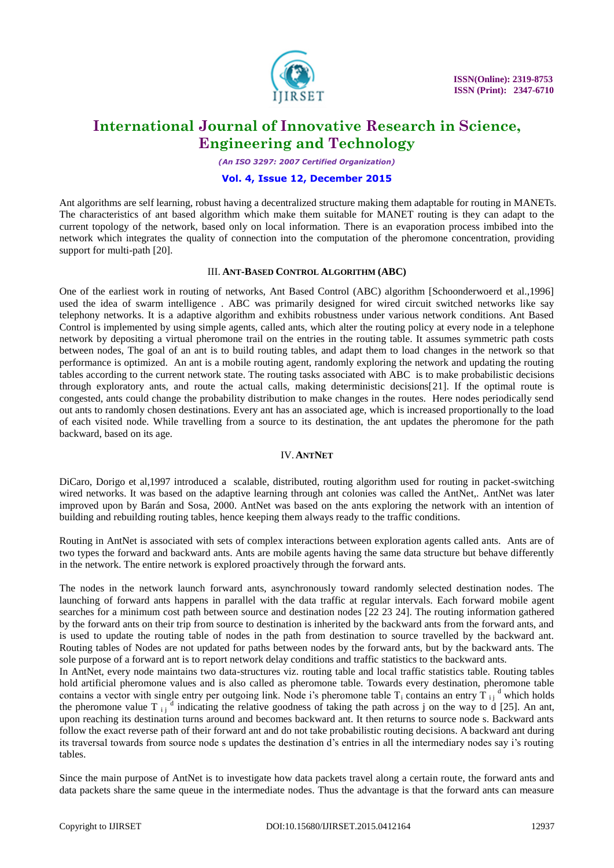

*(An ISO 3297: 2007 Certified Organization)*

#### **Vol. 4, Issue 12, December 2015**

Ant algorithms are self learning, robust having a decentralized structure making them adaptable for routing in MANETs. The characteristics of ant based algorithm which make them suitable for MANET routing is they can adapt to the current topology of the network, based only on local information. There is an evaporation process imbibed into the network which integrates the quality of connection into the computation of the pheromone concentration, providing support for multi-path [20].

#### III. **ANT-BASED CONTROL ALGORITHM (ABC)**

One of the earliest work in routing of networks, Ant Based Control (ABC) algorithm [Schoonderwoerd et al.,1996] used the idea of swarm intelligence . ABC was primarily designed for wired circuit switched networks like say telephony networks. It is a adaptive algorithm and exhibits robustness under various network conditions. Ant Based Control is implemented by using simple agents, called ants, which alter the routing policy at every node in a telephone network by depositing a virtual pheromone trail on the entries in the routing table. It assumes symmetric path costs between nodes, The goal of an ant is to build routing tables, and adapt them to load changes in the network so that performance is optimized. An ant is a mobile routing agent, randomly exploring the network and updating the routing tables according to the current network state. The routing tasks associated with ABC is to make probabilistic decisions through exploratory ants, and route the actual calls, making deterministic decisions[21]. If the optimal route is congested, ants could change the probability distribution to make changes in the routes. Here nodes periodically send out ants to randomly chosen destinations. Every ant has an associated age, which is increased proportionally to the load of each visited node. While travelling from a source to its destination, the ant updates the pheromone for the path backward, based on its age.

#### IV.**ANTNET**

DiCaro, Dorigo et al,1997 introduced a scalable, distributed, routing algorithm used for routing in packet-switching wired networks. It was based on the adaptive learning through ant colonies was called the AntNet,. AntNet was later improved upon by Barán and Sosa, 2000. AntNet was based on the ants exploring the network with an intention of building and rebuilding routing tables, hence keeping them always ready to the traffic conditions.

Routing in AntNet is associated with sets of complex interactions between exploration agents called ants. Ants are of two types the forward and backward ants. Ants are mobile agents having the same data structure but behave differently in the network. The entire network is explored proactively through the forward ants.

The nodes in the network launch forward ants, asynchronously toward randomly selected destination nodes. The launching of forward ants happens in parallel with the data traffic at regular intervals. Each forward mobile agent searches for a minimum cost path between source and destination nodes [22 23 24]. The routing information gathered by the forward ants on their trip from source to destination is inherited by the backward ants from the forward ants, and is used to update the routing table of nodes in the path from destination to source travelled by the backward ant. Routing tables of Nodes are not updated for paths between nodes by the forward ants, but by the backward ants. The sole purpose of a forward ant is to report network delay conditions and traffic statistics to the backward ants.

In AntNet, every node maintains two data-structures viz. routing table and local traffic statistics table. Routing tables hold artificial pheromone values and is also called as pheromone table. Towards every destination, pheromone table contains a vector with single entry per outgoing link. Node i's pheromone table  $T_i$  contains an entry  $\overline{T}_{i}$   $\overset{d}{ }$  which holds the pheromone value T<sub>ij</sub><sup>d</sup> indicating the relative goodness of taking the path across j on the way to d [25]. An ant, upon reaching its destination turns around and becomes backward ant. It then returns to source node s. Backward ants follow the exact reverse path of their forward ant and do not take probabilistic routing decisions. A backward ant during its traversal towards from source node s updates the destination d's entries in all the intermediary nodes say i's routing tables.

Since the main purpose of AntNet is to investigate how data packets travel along a certain route, the forward ants and data packets share the same queue in the intermediate nodes. Thus the advantage is that the forward ants can measure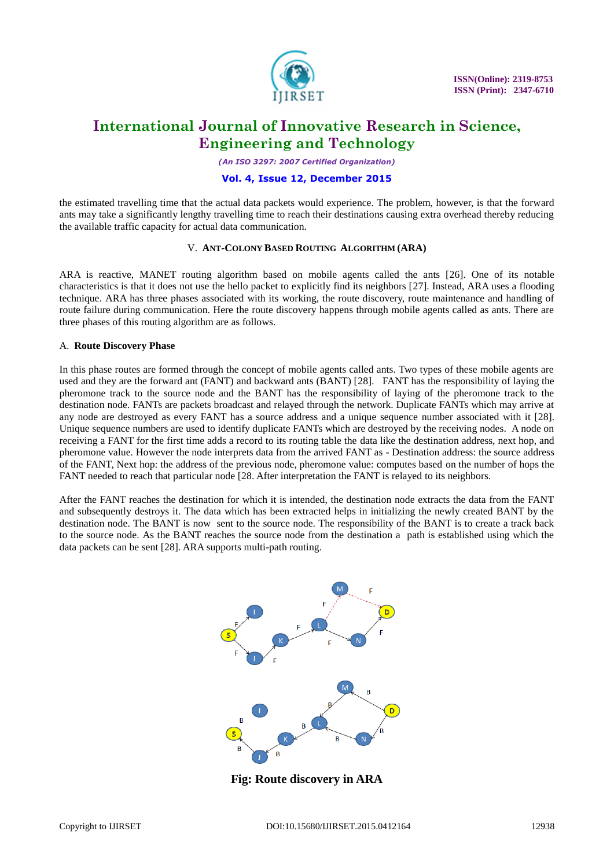

*(An ISO 3297: 2007 Certified Organization)*

## **Vol. 4, Issue 12, December 2015**

the estimated travelling time that the actual data packets would experience. The problem, however, is that the forward ants may take a significantly lengthy travelling time to reach their destinations causing extra overhead thereby reducing the available traffic capacity for actual data communication.

## V. **ANT-COLONY BASED ROUTING ALGORITHM (ARA)**

ARA is reactive, MANET routing algorithm based on mobile agents called the ants [26]. One of its notable characteristics is that it does not use the hello packet to explicitly find its neighbors [27]. Instead, ARA uses a flooding technique. ARA has three phases associated with its working, the route discovery, route maintenance and handling of route failure during communication. Here the route discovery happens through mobile agents called as ants. There are three phases of this routing algorithm are as follows.

## A. **Route Discovery Phase**

In this phase routes are formed through the concept of mobile agents called ants. Two types of these mobile agents are used and they are the forward ant (FANT) and backward ants (BANT) [28]. FANT has the responsibility of laying the pheromone track to the source node and the BANT has the responsibility of laying of the pheromone track to the destination node. FANTs are packets broadcast and relayed through the network. Duplicate FANTs which may arrive at any node are destroyed as every FANT has a source address and a unique sequence number associated with it [28]. Unique sequence numbers are used to identify duplicate FANTs which are destroyed by the receiving nodes. A node on receiving a FANT for the first time adds a record to its routing table the data like the destination address, next hop, and pheromone value. However the node interprets data from the arrived FANT as - Destination address: the source address of the FANT, Next hop: the address of the previous node, pheromone value: computes based on the number of hops the FANT needed to reach that particular node [28. After interpretation the FANT is relayed to its neighbors.

After the FANT reaches the destination for which it is intended, the destination node extracts the data from the FANT and subsequently destroys it. The data which has been extracted helps in initializing the newly created BANT by the destination node. The BANT is now sent to the source node. The responsibility of the BANT is to create a track back to the source node. As the BANT reaches the source node from the destination a path is established using which the data packets can be sent [28]. ARA supports multi-path routing.



**Fig: Route discovery in ARA**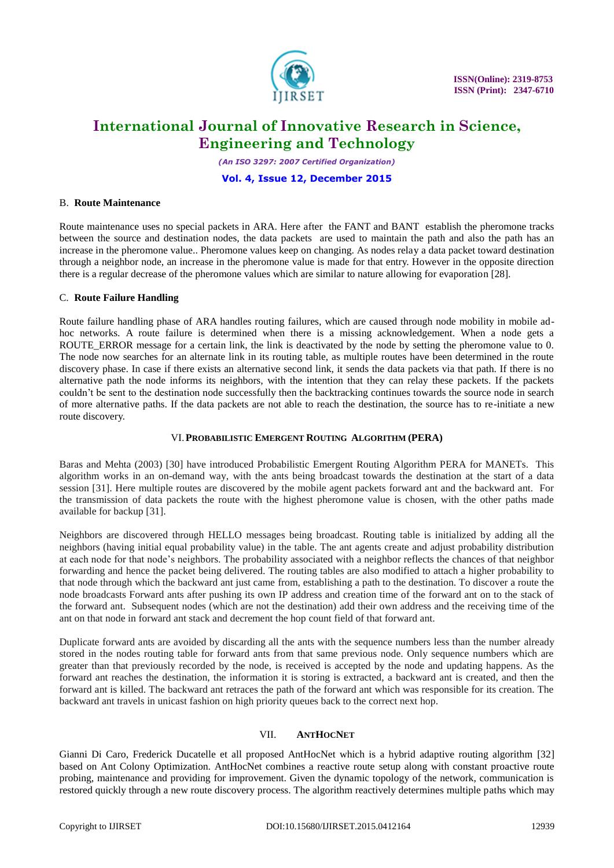

*(An ISO 3297: 2007 Certified Organization)*

## **Vol. 4, Issue 12, December 2015**

## B. **Route Maintenance**

Route maintenance uses no special packets in ARA. Here after the FANT and BANT establish the pheromone tracks between the source and destination nodes, the data packets are used to maintain the path and also the path has an increase in the pheromone value.. Pheromone values keep on changing. As nodes relay a data packet toward destination through a neighbor node, an increase in the pheromone value is made for that entry. However in the opposite direction there is a regular decrease of the pheromone values which are similar to nature allowing for evaporation [28].

## C. **Route Failure Handling**

Route failure handling phase of ARA handles routing failures, which are caused through node mobility in mobile adhoc networks. A route failure is determined when there is a missing acknowledgement. When a node gets a ROUTE\_ERROR message for a certain link, the link is deactivated by the node by setting the pheromone value to 0. The node now searches for an alternate link in its routing table, as multiple routes have been determined in the route discovery phase. In case if there exists an alternative second link, it sends the data packets via that path. If there is no alternative path the node informs its neighbors, with the intention that they can relay these packets. If the packets couldn't be sent to the destination node successfully then the backtracking continues towards the source node in search of more alternative paths. If the data packets are not able to reach the destination, the source has to re-initiate a new route discovery.

# VI.**PROBABILISTIC EMERGENT ROUTING ALGORITHM (PERA)**

Baras and Mehta (2003) [30] have introduced Probabilistic Emergent Routing Algorithm PERA for MANETs. This algorithm works in an on-demand way, with the ants being broadcast towards the destination at the start of a data session [31]. Here multiple routes are discovered by the mobile agent packets forward ant and the backward ant. For the transmission of data packets the route with the highest pheromone value is chosen, with the other paths made available for backup [31].

Neighbors are discovered through HELLO messages being broadcast. Routing table is initialized by adding all the neighbors (having initial equal probability value) in the table. The ant agents create and adjust probability distribution at each node for that node's neighbors. The probability associated with a neighbor reflects the chances of that neighbor forwarding and hence the packet being delivered. The routing tables are also modified to attach a higher probability to that node through which the backward ant just came from, establishing a path to the destination. To discover a route the node broadcasts Forward ants after pushing its own IP address and creation time of the forward ant on to the stack of the forward ant. Subsequent nodes (which are not the destination) add their own address and the receiving time of the ant on that node in forward ant stack and decrement the hop count field of that forward ant.

Duplicate forward ants are avoided by discarding all the ants with the sequence numbers less than the number already stored in the nodes routing table for forward ants from that same previous node. Only sequence numbers which are greater than that previously recorded by the node, is received is accepted by the node and updating happens. As the forward ant reaches the destination, the information it is storing is extracted, a backward ant is created, and then the forward ant is killed. The backward ant retraces the path of the forward ant which was responsible for its creation. The backward ant travels in unicast fashion on high priority queues back to the correct next hop.

## VII. **ANTHOCNET**

Gianni Di Caro, Frederick Ducatelle et all proposed AntHocNet which is a hybrid adaptive routing algorithm [32] based on Ant Colony Optimization. AntHocNet combines a reactive route setup along with constant proactive route probing, maintenance and providing for improvement. Given the dynamic topology of the network, communication is restored quickly through a new route discovery process. The algorithm reactively determines multiple paths which may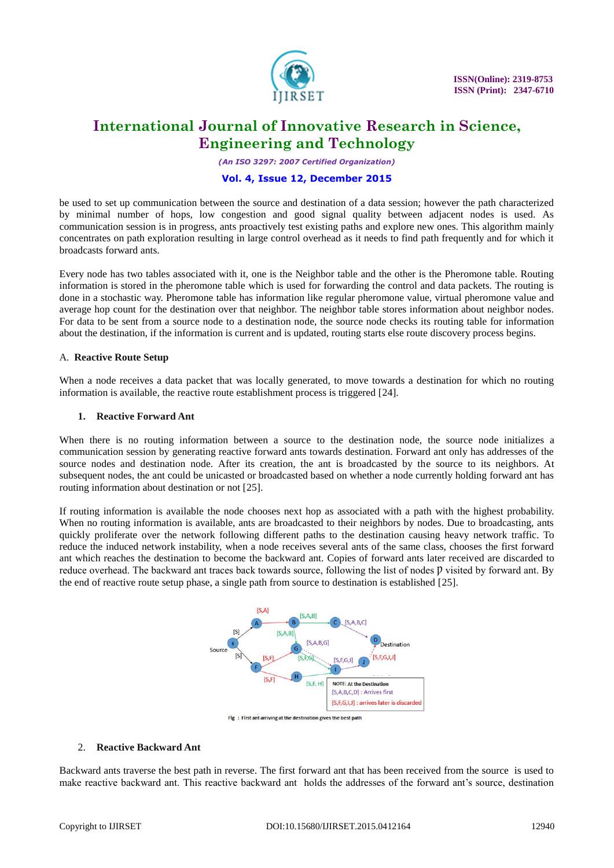

*(An ISO 3297: 2007 Certified Organization)*

## **Vol. 4, Issue 12, December 2015**

be used to set up communication between the source and destination of a data session; however the path characterized by minimal number of hops, low congestion and good signal quality between adjacent nodes is used. As communication session is in progress, ants proactively test existing paths and explore new ones. This algorithm mainly concentrates on path exploration resulting in large control overhead as it needs to find path frequently and for which it broadcasts forward ants.

Every node has two tables associated with it, one is the Neighbor table and the other is the Pheromone table. Routing information is stored in the pheromone table which is used for forwarding the control and data packets. The routing is done in a stochastic way. Pheromone table has information like regular pheromone value, virtual pheromone value and average hop count for the destination over that neighbor. The neighbor table stores information about neighbor nodes. For data to be sent from a source node to a destination node, the source node checks its routing table for information about the destination, if the information is current and is updated, routing starts else route discovery process begins.

#### A. **Reactive Route Setup**

When a node receives a data packet that was locally generated, to move towards a destination for which no routing information is available, the reactive route establishment process is triggered [24].

#### **1. Reactive Forward Ant**

When there is no routing information between a source to the destination node, the source node initializes a communication session by generating reactive forward ants towards destination. Forward ant only has addresses of the source nodes and destination node. After its creation, the ant is broadcasted by the source to its neighbors. At subsequent nodes, the ant could be unicasted or broadcasted based on whether a node currently holding forward ant has routing information about destination or not [25].

If routing information is available the node chooses next hop as associated with a path with the highest probability. When no routing information is available, ants are broadcasted to their neighbors by nodes. Due to broadcasting, ants quickly proliferate over the network following different paths to the destination causing heavy network traffic. To reduce the induced network instability, when a node receives several ants of the same class, chooses the first forward ant which reaches the destination to become the backward ant. Copies of forward ants later received are discarded to reduce overhead. The backward ant traces back towards source, following the list of nodes D visited by forward ant. By the end of reactive route setup phase, a single path from source to destination is established [25].



#### 2. **Reactive Backward Ant**

Backward ants traverse the best path in reverse. The first forward ant that has been received from the source is used to make reactive backward ant. This reactive backward ant holds the addresses of the forward ant's source, destination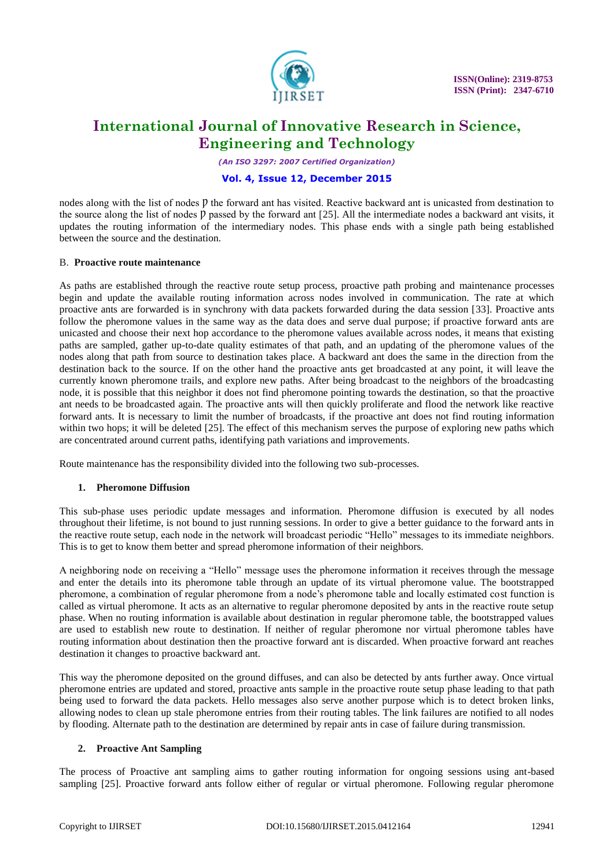

*(An ISO 3297: 2007 Certified Organization)*

## **Vol. 4, Issue 12, December 2015**

nodes along with the list of nodes p the forward ant has visited. Reactive backward ant is unicasted from destination to the source along the list of nodes  $\hat{p}$  passed by the forward ant [25]. All the intermediate nodes a backward ant visits, it updates the routing information of the intermediary nodes. This phase ends with a single path being established between the source and the destination.

#### B. **Proactive route maintenance**

As paths are established through the reactive route setup process, proactive path probing and maintenance processes begin and update the available routing information across nodes involved in communication. The rate at which proactive ants are forwarded is in synchrony with data packets forwarded during the data session [33]. Proactive ants follow the pheromone values in the same way as the data does and serve dual purpose; if proactive forward ants are unicasted and choose their next hop accordance to the pheromone values available across nodes, it means that existing paths are sampled, gather up-to-date quality estimates of that path, and an updating of the pheromone values of the nodes along that path from source to destination takes place. A backward ant does the same in the direction from the destination back to the source. If on the other hand the proactive ants get broadcasted at any point, it will leave the currently known pheromone trails, and explore new paths. After being broadcast to the neighbors of the broadcasting node, it is possible that this neighbor it does not find pheromone pointing towards the destination, so that the proactive ant needs to be broadcasted again. The proactive ants will then quickly proliferate and flood the network like reactive forward ants. It is necessary to limit the number of broadcasts, if the proactive ant does not find routing information within two hops; it will be deleted [25]. The effect of this mechanism serves the purpose of exploring new paths which are concentrated around current paths, identifying path variations and improvements.

Route maintenance has the responsibility divided into the following two sub-processes.

## **1. Pheromone Diffusion**

This sub-phase uses periodic update messages and information. Pheromone diffusion is executed by all nodes throughout their lifetime, is not bound to just running sessions. In order to give a better guidance to the forward ants in the reactive route setup, each node in the network will broadcast periodic "Hello" messages to its immediate neighbors. This is to get to know them better and spread pheromone information of their neighbors.

A neighboring node on receiving a "Hello" message uses the pheromone information it receives through the message and enter the details into its pheromone table through an update of its virtual pheromone value. The bootstrapped pheromone, a combination of regular pheromone from a node's pheromone table and locally estimated cost function is called as virtual pheromone. It acts as an alternative to regular pheromone deposited by ants in the reactive route setup phase. When no routing information is available about destination in regular pheromone table, the bootstrapped values are used to establish new route to destination. If neither of regular pheromone nor virtual pheromone tables have routing information about destination then the proactive forward ant is discarded. When proactive forward ant reaches destination it changes to proactive backward ant.

This way the pheromone deposited on the ground diffuses, and can also be detected by ants further away. Once virtual pheromone entries are updated and stored, proactive ants sample in the proactive route setup phase leading to that path being used to forward the data packets. Hello messages also serve another purpose which is to detect broken links, allowing nodes to clean up stale pheromone entries from their routing tables. The link failures are notified to all nodes by flooding. Alternate path to the destination are determined by repair ants in case of failure during transmission.

## **2. Proactive Ant Sampling**

The process of Proactive ant sampling aims to gather routing information for ongoing sessions using ant-based sampling [25]. Proactive forward ants follow either of regular or virtual pheromone. Following regular pheromone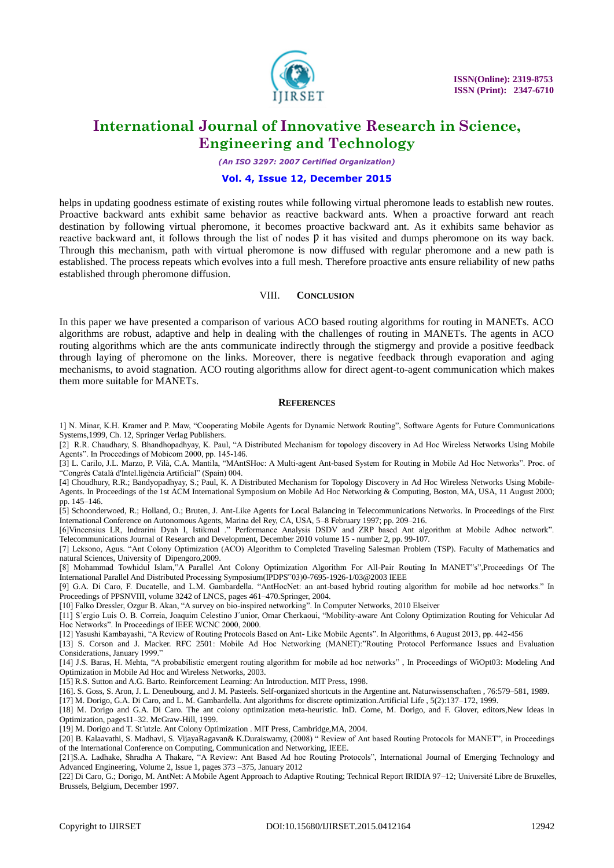

*(An ISO 3297: 2007 Certified Organization)*

#### **Vol. 4, Issue 12, December 2015**

helps in updating goodness estimate of existing routes while following virtual pheromone leads to establish new routes. Proactive backward ants exhibit same behavior as reactive backward ants. When a proactive forward ant reach destination by following virtual pheromone, it becomes proactive backward ant. As it exhibits same behavior as reactive backward ant, it follows through the list of nodes  $\bar{p}$  it has visited and dumps pheromone on its way back. Through this mechanism, path with virtual pheromone is now diffused with regular pheromone and a new path is established. The process repeats which evolves into a full mesh. Therefore proactive ants ensure reliability of new paths established through pheromone diffusion.

#### VIII. **CONCLUSION**

In this paper we have presented a comparison of various ACO based routing algorithms for routing in MANETs. ACO algorithms are robust, adaptive and help in dealing with the challenges of routing in MANETs. The agents in ACO routing algorithms which are the ants communicate indirectly through the stigmergy and provide a positive feedback through laying of pheromone on the links. Moreover, there is negative feedback through evaporation and aging mechanisms, to avoid stagnation. ACO routing algorithms allow for direct agent-to-agent communication which makes them more suitable for MANETs.

#### **REFERENCES**

1] N. Minar, K.H. Kramer and P. Maw, "Cooperating Mobile Agents for Dynamic Network Routing", Software Agents for Future Communications Systems,1999, Ch. 12, Springer Verlag Publishers.

[2] R.R. Chaudhary, S. Bhandhopadhyay, K. Paul, "A Distributed Mechanism for topology discovery in Ad Hoc Wireless Networks Using Mobile Agents". In Proceedings of Mobicom 2000, pp. 145-146.

[3] L. Carilo, J.L. Marzo, P. Vilà, C.A. Mantila, "MAntSHoc: A Multi-agent Ant-based System for Routing in Mobile Ad Hoc Networks". Proc. of "Congrés Català d'Intel.ligència Artificial" (Spain) 004.

[4] Choudhury, R.R.; Bandyopadhyay, S.; Paul, K. A Distributed Mechanism for Topology Discovery in Ad Hoc Wireless Networks Using Mobile-Agents. In Proceedings of the 1st ACM International Symposium on Mobile Ad Hoc Networking & Computing, Boston, MA, USA, 11 August 2000; pp. 145–146.

[5] Schoonderwoed, R.; Holland, O.; Bruten, J. Ant-Like Agents for Local Balancing in Telecommunications Networks. In Proceedings of the First International Conference on Autonomous Agents, Marina del Rey, CA, USA, 5–8 February 1997; pp. 209–216.

[6]Vincensius LR, Indrarini Dyah I, Istikmal ." Performance Analysis DSDV and ZRP based Ant algorithm at Mobile Adhoc network". Telecommunications Journal of Research and Development, December 2010 volume 15 - number 2, pp. 99-107.

[7] Leksono, Agus. "Ant Colony Optimization (ACO) Algorithm to Completed Traveling Salesman Problem (TSP). Faculty of Mathematics and natural Sciences, University of Dipengoro,2009.

[8] Mohammad Towhidul Islam,"A Parallel Ant Colony Optimization Algorithm For All-Pair Routing In MANET"s",Proceedings Of The International Parallel And Distributed Processing Symposium(IPDPS"03)0-7695-1926-1/03@2003 IEEE

[9] G.A. Di Caro, F. Ducatelle, and L.M. Gambardella. "AntHocNet: an ant-based hybrid routing algorithm for mobile ad hoc networks." In Proceedings of PPSNVIII, volume 3242 of LNCS, pages 461–470.Springer, 2004.

[10] Falko Dressler, Ozgur B. Akan, "A survey on bio-inspired networking". In Computer Networks, 2010 Elseiver

[11] S´ergio Luis O. B. Correia, Joaquim Celestino J´unior, Omar Cherkaoui, "Mobility-aware Ant Colony Optimization Routing for Vehicular Ad Hoc Networks". In Proceedings of IEEE WCNC 2000, 2000.

[12] Yasushi Kambayashi, "A Review of Routing Protocols Based on Ant- Like Mobile Agents". In Algorithms, 6 August 2013, pp. 442-456

[13] S. Corson and J. Macker. RFC 2501: Mobile Ad Hoc Networking (MANET):"Routing Protocol Performance Issues and Evaluation Considerations, January 1999."

[14] J.S. Baras, H. Mehta, "A probabilistic emergent routing algorithm for mobile ad hoc networks" , In Proceedings of WiOpt03: Modeling And Optimization in Mobile Ad Hoc and Wireless Networks, 2003.

[15] R.S. Sutton and A.G. Barto. Reinforcement Learning: An Introduction. MIT Press, 1998.

[16]. S. Goss, S. Aron, J. L. Deneubourg, and J. M. Pasteels. Self-organized shortcuts in the Argentine ant. Naturwissenschaften , 76:579–581, 1989.

[17] M. Dorigo, G.A. Di Caro, and L. M. Gambardella. Ant algorithms for discrete optimization.Artificial Life , 5(2):137–172, 1999.

[18] M. Dorigo and G.A. Di Caro. The ant colony optimization meta-heuristic. InD. Corne, M. Dorigo, and F. Glover, editors,New Ideas in Optimization, pages11–32. McGraw-Hill, 1999.

[19] M. Dorigo and T. St ̈utzle. Ant Colony Optimization . MIT Press, Cambridge,MA, 2004.

[20] B. Kalaavathi, S. Madhavi, S. VijayaRagavan& K.Duraiswamy, (2008) " Review of Ant based Routing Protocols for MANET", in Proceedings of the International Conference on Computing, Communication and Networking, IEEE.

[21]S.A. Ladhake, Shradha A Thakare, "A Review: Ant Based Ad hoc Routing Protocols", International Journal of Emerging Technology and Advanced Engineering, Volume 2, Issue 1, pages 373 –375, January 2012

[22] Di Caro, G.; Dorigo, M. AntNet: A Mobile Agent Approach to Adaptive Routing; Technical Report IRIDIA 97–12; Université Libre de Bruxelles, Brussels, Belgium, December 1997.